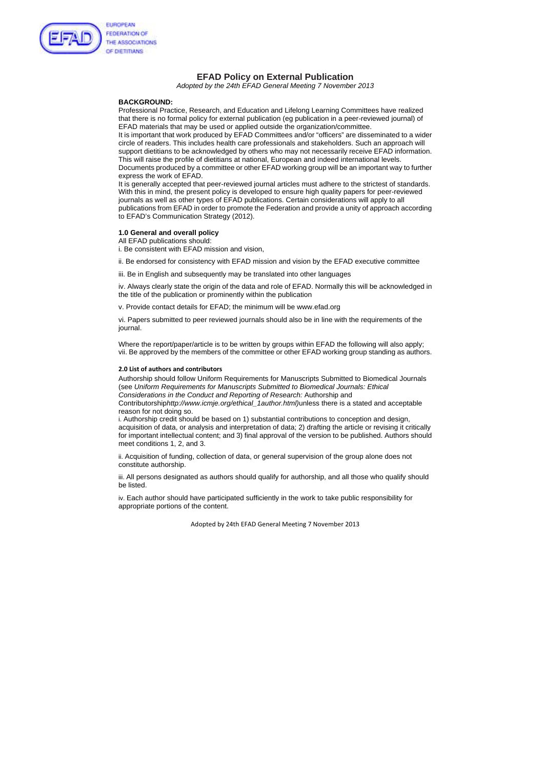Adopted by 24th EFAD General Meeting 7 November 2013



# **EFAD Policy on External Publication**

*Adopted by the 24th EFAD General Meeting 7 November 2013* 

### **BACKGROUND:**

Professional Practice, Research, and Education and Lifelong Learning Committees have realized that there is no formal policy for external publication (eg publication in a peer-reviewed journal) of EFAD materials that may be used or applied outside the organization/committee.

It is important that work produced by EFAD Committees and/or "officers" are disseminated to a wider circle of readers. This includes health care professionals and stakeholders. Such an approach will support dietitians to be acknowledged by others who may not necessarily receive EFAD information. This will raise the profile of dietitians at national, European and indeed international levels. Documents produced by a committee or other EFAD working group will be an important way to further

express the work of EFAD. It is generally accepted that peer-reviewed journal articles must adhere to the strictest of standards. With this in mind, the present policy is developed to ensure high quality papers for peer-reviewed journals as well as other types of EFAD publications. Certain considerations will apply to all

Where the report/paper/article is to be written by groups within EFAD the following will also apply; vii. Be approved by the members of the committee or other EFAD working group standing as authors.

publications from EFAD in order to promote the Federation and provide a unity of approach according to EFAD's Communication Strategy (2012).

#### **1.0 General and overall policy**

All EFAD publications should:

i. Be consistent with EFAD mission and vision,

ii. Be endorsed for consistency with EFAD mission and vision by the EFAD executive committee

iii. Be in English and subsequently may be translated into other languages

iv. Always clearly state the origin of the data and role of EFAD. Normally this will be acknowledged in the title of the publication or prominently within the publication

v. Provide contact details for EFAD; the minimum will be www.efad.org

vi. Papers submitted to peer reviewed journals should also be in line with the requirements of the journal.

#### **2.0 List of authors and contributors**

Authorship should follow Uniform Requirements for Manuscripts Submitted to Biomedical Journals (see *Uniform Requirements for Manuscripts Submitted to Biomedical Journals: Ethical Considerations in the Conduct and Reporting of Research:* Authorship and

Contributorship*http://www.icmje.org/ethical\_1author.html)*unless there is a stated and acceptable reason for not doing so.

i. Authorship credit should be based on 1) substantial contributions to conception and design, acquisition of data, or analysis and interpretation of data; 2) drafting the article or revising it critically for important intellectual content; and 3) final approval of the version to be published. Authors should meet conditions 1, 2, and 3.

ii. Acquisition of funding, collection of data, or general supervision of the group alone does not constitute authorship.

iii. All persons designated as authors should qualify for authorship, and all those who qualify should be listed.

iv. Each author should have participated sufficiently in the work to take public responsibility for appropriate portions of the content.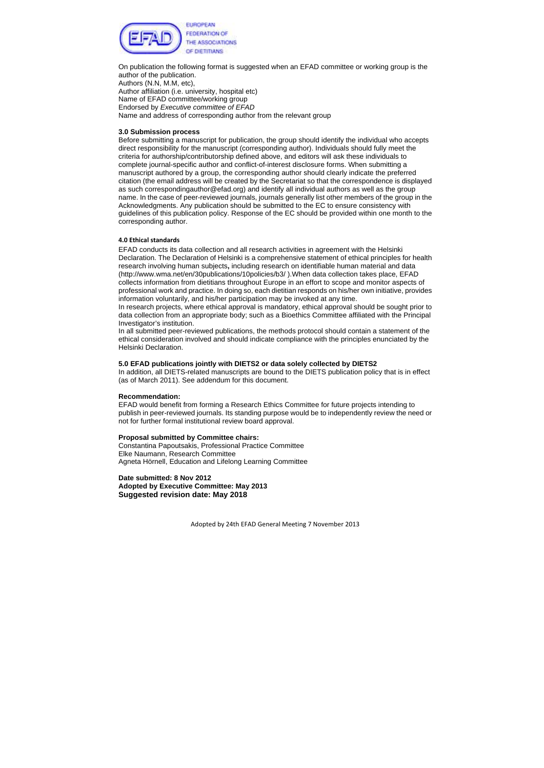

On publication the following format is suggested when an EFAD committee or working group is the author of the publication. Authors (N.N, M.M, etc), Author affiliation (i.e. university, hospital etc) Name of EFAD committee/working group Endorsed by *Executive committee of EFAD*  Name and address of corresponding author from the relevant group

## **3.0 Submission process**

Before submitting a manuscript for publication, the group should identify the individual who accepts direct responsibility for the manuscript (corresponding author). Individuals should fully meet the criteria for authorship/contributorship defined above, and editors will ask these individuals to complete journal-specific author and conflict-of-interest disclosure forms. When submitting a manuscript authored by a group, the corresponding author should clearly indicate the preferred citation (the email address will be created by the Secretariat so that the correspondence is displayed as such correspondingauthor@efad.org) and identify all individual authors as well as the group name. In the case of peer-reviewed journals, journals generally list other members of the group in the Acknowledgments. Any publication should be submitted to the EC to ensure consistency with guidelines of this publication policy. Response of the EC should be provided within one month to the corresponding author.

#### **4.0 Ethical standards**

EFAD conducts its data collection and all research activities in agreement with the Helsinki Declaration. The Declaration of Helsinki is a comprehensive statement of ethical principles for health research involving human subjects**,** including research on identifiable human material and data (http://www.wma.net/en/30publications/10policies/b3/ ).When data collection takes place, EFAD collects information from dietitians throughout Europe in an effort to scope and monitor aspects of professional work and practice. In doing so, each dietitian responds on his/her own initiative, provides information voluntarily, and his/her participation may be invoked at any time.

In research projects, where ethical approval is mandatory, ethical approval should be sought prior to data collection from an appropriate body; such as a Bioethics Committee affiliated with the Principal Investigator's institution.

In all submitted peer-reviewed publications, the methods protocol should contain a statement of the ethical consideration involved and should indicate compliance with the principles enunciated by the Helsinki Declaration.

#### **5.0 EFAD publications jointly with DIETS2 or data solely collected by DIETS2**

In addition, all DIETS-related manuscripts are bound to the DIETS publication policy that is in effect (as of March 2011). See addendum for this document.

#### **Recommendation:**

EFAD would benefit from forming a Research Ethics Committee for future projects intending to publish in peer-reviewed journals. Its standing purpose would be to independently review the need or not for further formal institutional review board approval.

#### **Proposal submitted by Committee chairs:**

Constantina Papoutsakis, Professional Practice Committee Elke Naumann, Research Committee Agneta Hörnell, Education and Lifelong Learning Committee

**Date submitted: 8 Nov 2012 Adopted by Executive Committee: May 2013 Suggested revision date: May 2018**